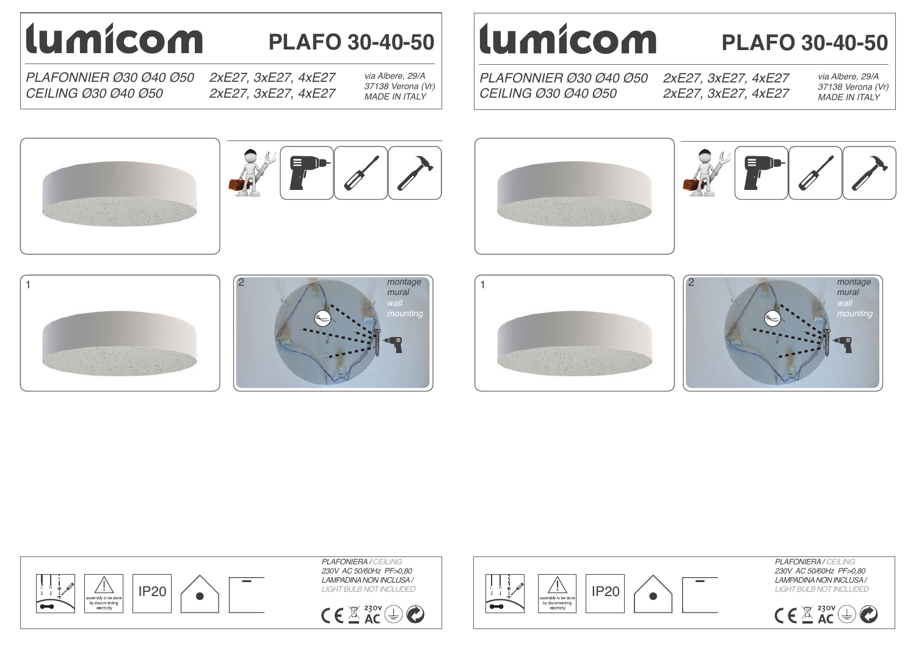# lumicom

## **PLAFO 30-40-50**

*PLAFONNIER Ø30 Ø40 Ø50 CEILING Ø30 Ø40 Ø50*

*2xE27, 3xE27, 4xE27 2xE27, 3xE27, 4xE27*

*via Albere, 29/A 37138 Verona (Vr) MADE IN ITALY*

# lumicom

*PLAFONNIER Ø30 Ø40 Ø50*

*CEILING Ø30 Ø40 Ø50*

*2xE27, 3xE27, 4xE27* **PLAFO 30-40-50**

*2xE27, 3xE27, 4xE27*

*via Albere, 29/A 37138 Verona (Vr) MADE IN ITALY*